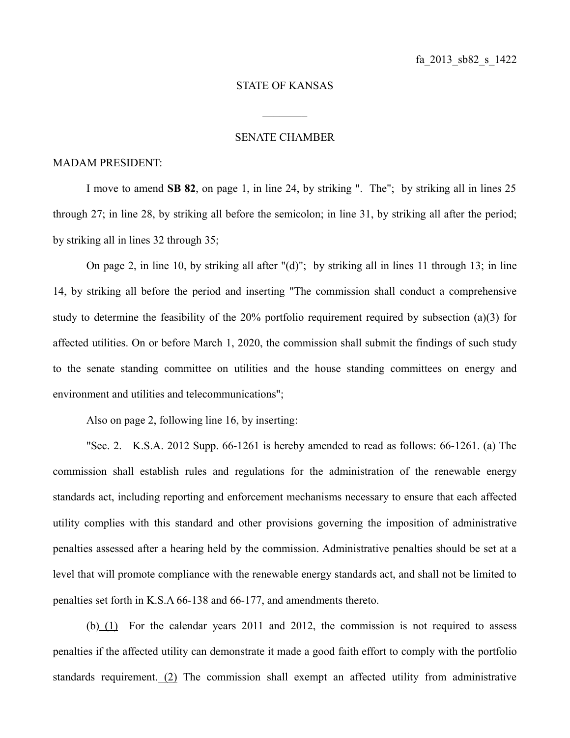## STATE OF KANSAS

 $\frac{1}{2}$ 

## SENATE CHAMBER

## MADAM PRESIDENT:

I move to amend **SB 82**, on page 1, in line 24, by striking ". The"; by striking all in lines 25 through 27; in line 28, by striking all before the semicolon; in line 31, by striking all after the period; by striking all in lines 32 through 35;

On page 2, in line 10, by striking all after "(d)"; by striking all in lines 11 through 13; in line 14, by striking all before the period and inserting "The commission shall conduct a comprehensive study to determine the feasibility of the 20% portfolio requirement required by subsection (a)(3) for affected utilities. On or before March 1, 2020, the commission shall submit the findings of such study to the senate standing committee on utilities and the house standing committees on energy and environment and utilities and telecommunications";

Also on page 2, following line 16, by inserting:

"Sec. 2. K.S.A. 2012 Supp. 66-1261 is hereby amended to read as follows: 66-1261. (a) The commission shall establish rules and regulations for the administration of the renewable energy standards act, including reporting and enforcement mechanisms necessary to ensure that each affected utility complies with this standard and other provisions governing the imposition of administrative penalties assessed after a hearing held by the commission. Administrative penalties should be set at a level that will promote compliance with the renewable energy standards act, and shall not be limited to penalties set forth in K.S.A 66-138 and 66-177, and amendments thereto.

(b) (1) For the calendar years 2011 and 2012, the commission is not required to assess penalties if the affected utility can demonstrate it made a good faith effort to comply with the portfolio standards requirement. (2) The commission shall exempt an affected utility from administrative